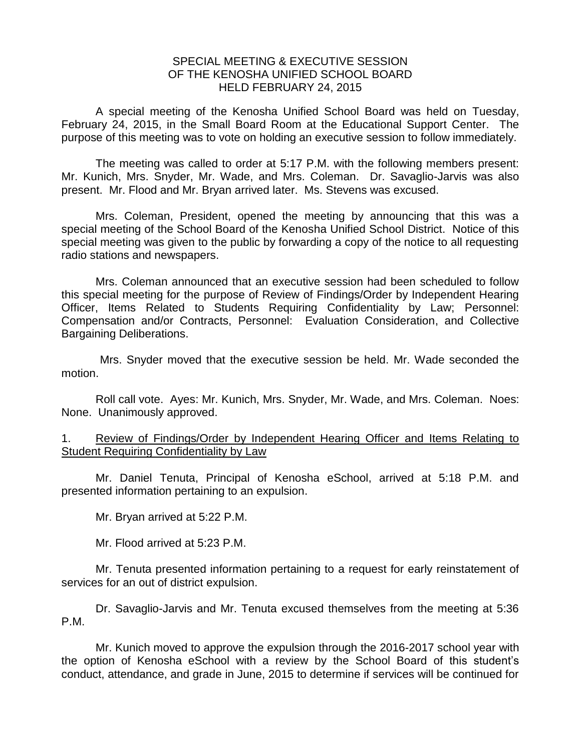## SPECIAL MEETING & EXECUTIVE SESSION OF THE KENOSHA UNIFIED SCHOOL BOARD HELD FEBRUARY 24, 2015

A special meeting of the Kenosha Unified School Board was held on Tuesday, February 24, 2015, in the Small Board Room at the Educational Support Center. The purpose of this meeting was to vote on holding an executive session to follow immediately.

The meeting was called to order at 5:17 P.M. with the following members present: Mr. Kunich, Mrs. Snyder, Mr. Wade, and Mrs. Coleman. Dr. Savaglio-Jarvis was also present. Mr. Flood and Mr. Bryan arrived later. Ms. Stevens was excused.

Mrs. Coleman, President, opened the meeting by announcing that this was a special meeting of the School Board of the Kenosha Unified School District. Notice of this special meeting was given to the public by forwarding a copy of the notice to all requesting radio stations and newspapers.

Mrs. Coleman announced that an executive session had been scheduled to follow this special meeting for the purpose of Review of Findings/Order by Independent Hearing Officer, Items Related to Students Requiring Confidentiality by Law; Personnel: Compensation and/or Contracts, Personnel: Evaluation Consideration, and Collective Bargaining Deliberations.

Mrs. Snyder moved that the executive session be held. Mr. Wade seconded the motion.

Roll call vote. Ayes: Mr. Kunich, Mrs. Snyder, Mr. Wade, and Mrs. Coleman. Noes: None. Unanimously approved.

## 1. Review of Findings/Order by Independent Hearing Officer and Items Relating to Student Requiring Confidentiality by Law

Mr. Daniel Tenuta, Principal of Kenosha eSchool, arrived at 5:18 P.M. and presented information pertaining to an expulsion.

Mr. Bryan arrived at 5:22 P.M.

Mr. Flood arrived at 5:23 P.M.

Mr. Tenuta presented information pertaining to a request for early reinstatement of services for an out of district expulsion.

Dr. Savaglio-Jarvis and Mr. Tenuta excused themselves from the meeting at 5:36 P.M.

Mr. Kunich moved to approve the expulsion through the 2016-2017 school year with the option of Kenosha eSchool with a review by the School Board of this student's conduct, attendance, and grade in June, 2015 to determine if services will be continued for